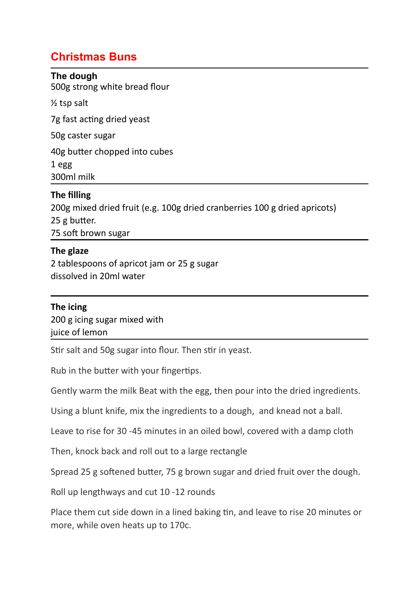# **Christmas Buns**

#### **The dough**

500g strong white bread flour

½ tsp salt

7g fast acting dried yeast

50g caster sugar

40g butter chopped into cubes

1 egg 300ml milk

# **The filling**

200g mixed dried fruit (e.g. 100g dried cranberries 100 g dried apricots) 25 g butter. 75 soft brown sugar

## **The glaze**

2 tablespoons of apricot jam or 25 g sugar dissolved in 20ml water

### **The icing**

200 g icing sugar mixed with juice of lemon

Stir salt and 50g sugar into flour. Then stir in yeast.

Rub in the butter with your fingertips.

Gently warm the milk Beat with the egg, then pour into the dried ingredients.

Using a blunt knife, mix the ingredients to a dough, and knead not a ball.

Leave to rise for 30 -45 minutes in an oiled bowl, covered with a damp cloth

Then, knock back and roll out to a large rectangle

Spread 25 g softened butter, 75 g brown sugar and dried fruit over the dough.

Roll up lengthways and cut 10 -12 rounds

Place them cut side down in a lined baking tin, and leave to rise 20 minutes or more, while oven heats up to 170c.